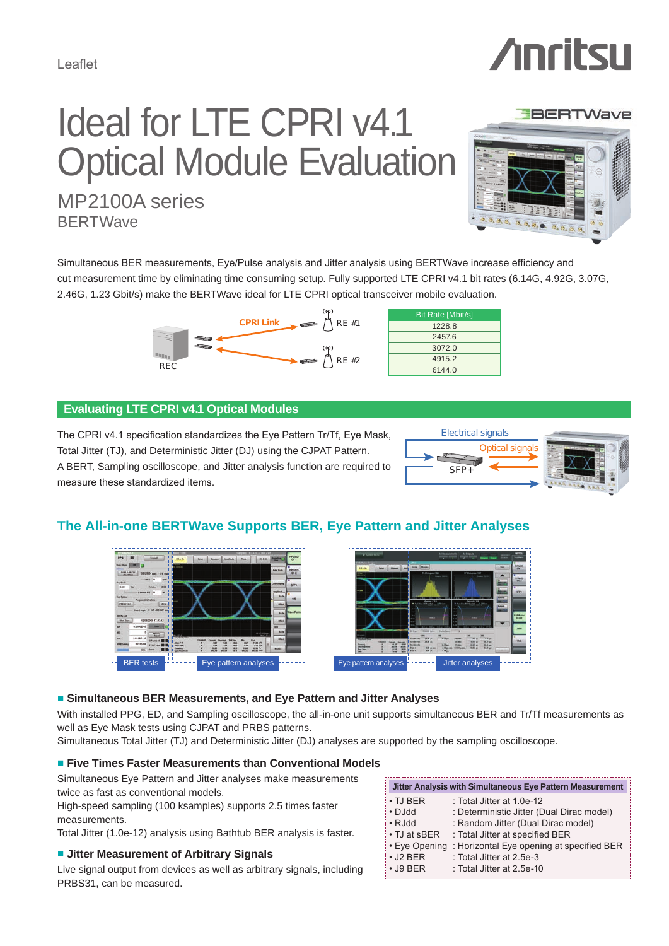# Ideal for LTE CPRI v4.1 **Optical Module Evaluation** MP2100A series

 $\overline{\partial_{\lambda}}\,\overline{\partial_{\lambda}}\,\overline{\partial_{\lambda}}\cdot\overline{\partial_{\lambda}}\,\overline{\partial_{\lambda}}$ 

**BERTWave** 

Simultaneous BER measurements, Eye/Pulse analysis and Jitter analysis using BERTWave increase efficiency and cut measurement time by eliminating time consuming setup. Fully supported LTE CPRI v4.1 bit rates (6.14G, 4.92G, 3.07G, 2.46G, 1.23 Gbit/s) make the BERTWave ideal for LTE CPRI optical transceiver mobile evaluation.



| <b>Bit Rate [Mbit/s]</b> |
|--------------------------|
| 1228.8                   |
| 2457.6                   |
| 3072.0                   |
| 4915.2                   |
| 6144.0                   |

# **Evaluating LTE CPRI v4.1 Optical Modules**

The CPRI v4.1 specification standardizes the Eye Pattern Tr/Tf, Eye Mask, Total Jitter (TJ), and Deterministic Jitter (DJ) using the CJPAT Pattern. A BERT, Sampling oscilloscope, and Jitter analysis function are required to measure these standardized items.



# **The All-in-one BERTWave Supports BER, Eye Pattern and Jitter Analyses**





## **■ Simultaneous BER Measurements, and Eye Pattern and Jitter Analyses**

With installed PPG, ED, and Sampling oscilloscope, the all-in-one unit supports simultaneous BER and Tr/Tf measurements as well as Eye Mask tests using CJPAT and PRBS patterns.

Simultaneous Total Jitter (TJ) and Deterministic Jitter (DJ) analyses are supported by the sampling oscilloscope.

## ■ **Five Times Faster Measurements than Conventional Models**

Simultaneous Eye Pattern and Jitter analyses make measurements twice as fast as conventional models.

High-speed sampling (100 ksamples) supports 2.5 times faster measurements.

Total Jitter (1.0e-12) analysis using Bathtub BER analysis is faster.

## ■ **Jitter Measurement of Arbitrary Signals**

Live signal output from devices as well as arbitrary signals, including PRBS31, can be measured.

| Jitter Analysis with Simultaneous Eye Pattern Measurement |                                           |  |
|-----------------------------------------------------------|-------------------------------------------|--|
| $\cdot$ TJ BER                                            | : Total Jitter at 1.0e-12                 |  |
| $\cdot$ DJdd                                              | : Deterministic Jitter (Dual Dirac model) |  |
| • RJdd                                                    | : Random Jitter (Dual Dirac model)        |  |
| $\cdot$ TJ at sBER                                        | : Total Jitter at specified BER           |  |
| • Eve Opening                                             | : Horizontal Eye opening at specified BER |  |
| $\cdot$ J2 BER                                            | : Total Jitter at 2.5e-3                  |  |
| $\cdot$ J9 BER                                            | : Total Jitter at 2.5e-10                 |  |
|                                                           |                                           |  |



**BERTWave**